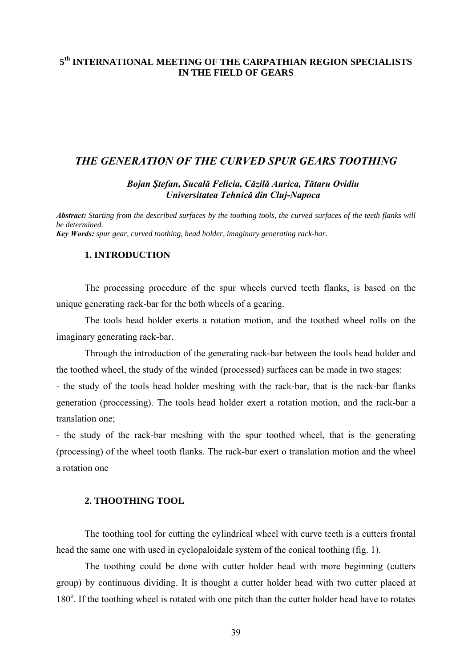# **5th INTERNATIONAL MEETING OF THE CARPATHIAN REGION SPECIALISTS IN THE FIELD OF GEARS**

# *THE GENERATION OF THE CURVED SPUR GEARS TOOTHING*

#### *Bojan Ştefan, Sucală Felicia, Căzilă Aurica, Tătaru Ovidiu Universitatea Tehnică din Cluj-Napoca*

*Abstract: Starting from the described surfaces by the toothing tools, the curved surfaces of the teeth flanks will be determined. Key Words: spur gear, curved toothing, head holder, imaginary generating rack-bar.* 

### **1. INTRODUCTION**

The processing procedure of the spur wheels curved teeth flanks, is based on the unique generating rack-bar for the both wheels of a gearing.

The tools head holder exerts a rotation motion, and the toothed wheel rolls on the imaginary generating rack-bar.

Through the introduction of the generating rack-bar between the tools head holder and the toothed wheel, the study of the winded (processed) surfaces can be made in two stages:

- the study of the tools head holder meshing with the rack-bar, that is the rack-bar flanks generation (proccessing). The tools head holder exert a rotation motion, and the rack-bar a translation one;

- the study of the rack-bar meshing with the spur toothed wheel, that is the generating (processing) of the wheel tooth flanks. The rack-bar exert o translation motion and the wheel a rotation one

#### **2. THOOTHING TOOL**

 The toothing tool for cutting the cylindrical wheel with curve teeth is a cutters frontal head the same one with used in cyclopaloidale system of the conical toothing (fig. 1).

The toothing could be done with cutter holder head with more beginning (cutters group) by continuous dividing. It is thought a cutter holder head with two cutter placed at 180°. If the toothing wheel is rotated with one pitch than the cutter holder head have to rotates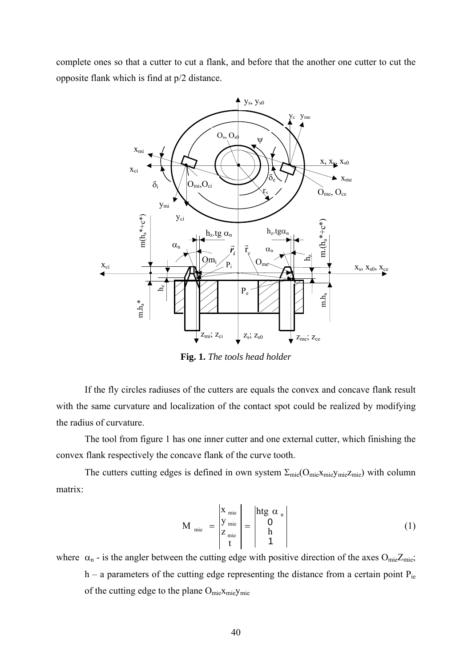complete ones so that a cutter to cut a flank, and before that the another one cutter to cut the opposite flank which is find at p/2 distance.



**Fig. 1.** *The tools head holder*

If the fly circles radiuses of the cutters are equals the convex and concave flank result with the same curvature and localization of the contact spot could be realized by modifying the radius of curvature.

The tool from figure 1 has one inner cutter and one external cutter, which finishing the convex flank respectively the concave flank of the curve tooth.

The cutters cutting edges is defined in own system  $\Sigma_{\text{mie}}(O_{\text{mie}}X_{\text{mie}})$  with column matrix:

$$
M_{\text{mie}} = \begin{vmatrix} X_{\text{mie}} \\ Y_{\text{mie}} \\ Z_{\text{mie}} \\ t \end{vmatrix} = \begin{vmatrix} htg \alpha_n \\ 0 \\ h \\ 1 \end{vmatrix}
$$
 (1)

where  $\alpha_n$  - is the angler between the cutting edge with positive direction of the axes O<sub>mie</sub>Z<sub>mie</sub>; h – a parameters of the cutting edge representing the distance from a certain point  $P_{ie}$ of the cutting edge to the plane O<sub>mie</sub>x<sub>mie</sub>y<sub>mie</sub>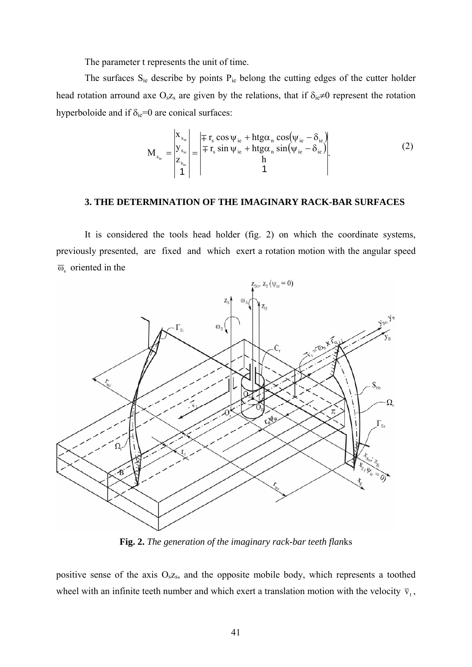The parameter t represents the unit of time.

The surfaces  $S_{ie}$  describe by points  $P_{ie}$  belong the cutting edges of the cutter holder head rotation arround axe O<sub>s</sub>z<sub>s</sub> are given by the relations, that if  $\delta_{ie} \neq 0$  represent the rotation hyperboloide and if  $\delta_{ie} = 0$  are conical surfaces:

$$
M_{s_{ie}} = \begin{vmatrix} x_{s_{ie}} \\ y_{s_{ie}} \\ z_{s_{ie}} \\ 1 \end{vmatrix} = \begin{vmatrix} \mp r_s \cos \psi_{ie} + htg\alpha_n \cos(\psi_{ie} - \delta_{ie}) \\ \mp r_s \sin \psi_{ie} + htg\alpha_n \sin(\psi_{ie} - \delta_{ie}) \\ h \\ 1 \end{vmatrix}.
$$
 (2)

#### **3. THE DETERMINATION OF THE IMAGINARY RACK-BAR SURFACES**

It is considered the tools head holder (fig. 2) on which the coordinate systems, previously presented, are fixed and which exert a rotation motion with the angular speed  $\overline{\omega}_{s}$  oriented in the



**Fig. 2.** *The generation of the imaginary rack-bar teeth flan*ks

positive sense of the axis  $O<sub>s</sub>z<sub>s</sub>$ , and the opposite mobile body, which represents a toothed wheel with an infinite teeth number and which exert a translation motion with the velocity  $\bar{v}_t$ ,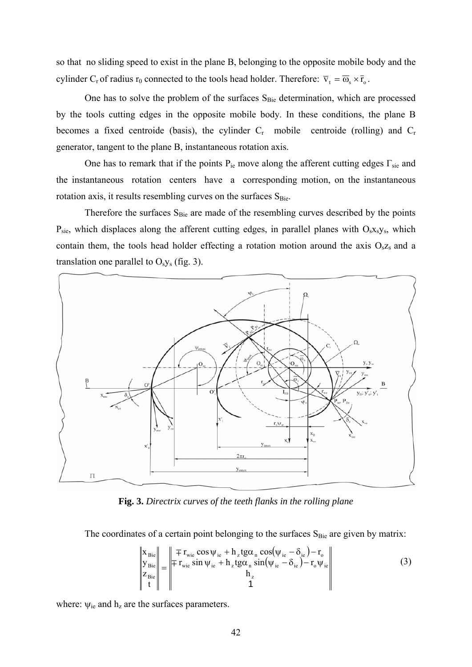so that no sliding speed to exist in the plane B, belonging to the opposite mobile body and the cylinder C<sub>r</sub> of radius r<sub>0</sub> connected to the tools head holder. Therefore:  $\overline{v}_t = \overline{\omega}_s \times \overline{r}_o$ .

One has to solve the problem of the surfaces S<sub>Bie</sub> determination, which are processed by the tools cutting edges in the opposite mobile body. In these conditions, the plane B becomes a fixed centroide (basis), the cylinder  $C_r$  mobile centroide (rolling) and  $C_r$ generator, tangent to the plane B, instantaneous rotation axis.

One has to remark that if the points  $P_{ie}$  move along the afferent cutting edges  $\Gamma_{sie}$  and the instantaneous rotation centers have a corresponding motion, on the instantaneous rotation axis, it results resembling curves on the surfaces S<sub>Bie</sub>.

Therefore the surfaces  $S_{Bie}$  are made of the resembling curves described by the points  $P_{\rm sie}$ , which displaces along the afferent cutting edges, in parallel planes with  $O_s x_s y_s$ , which contain them, the tools head holder effecting a rotation motion around the axis  $O_{s}z_{s}$  and a translation one parallel to  $O<sub>s</sub>y<sub>s</sub>$  (fig. 3).



Fig. 3. Directrix curves of the teeth flanks in the rolling plane

The coordinates of a certain point belonging to the surfaces  $S_{Bie}$  are given by matrix:

$$
\begin{vmatrix} \mathbf{x}_{\text{Bie}} \\ \mathbf{y}_{\text{Bie}} \\ \mathbf{z}_{\text{Bie}} \end{vmatrix} = \begin{vmatrix} \mp r_{\text{wie}} \cos \psi_{\text{ie}} + h_z t g \alpha_{\text{n}} \cos(\psi_{\text{ie}} - \delta_{\text{ie}}) - r_{\text{o}} \\ \mp r_{\text{wie}} \sin \psi_{\text{ie}} + h_z t g \alpha_{\text{n}} \sin(\psi_{\text{ie}} - \delta_{\text{ie}}) - r_{\text{o}} \psi_{\text{ie}} \\ h_z \\ 1 \end{vmatrix}
$$
(3)

where:  $\psi_{ie}$  and  $h_z$  are the surfaces parameters.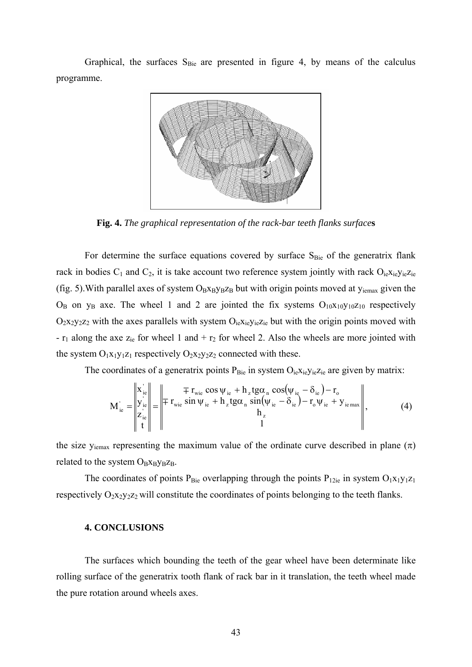Graphical, the surfaces  $S_{Bie}$  are presented in figure 4, by means of the calculus programme.



**Fig. 4.** *The graphical representation of the rack-bar teeth flanks surface***s**

For determine the surface equations covered by surface  $S_{Bie}$  of the generatrix flank rack in bodies  $C_1$  and  $C_2$ , it is take account two reference system jointly with rack  $O_{ie}x_{ie}y_{ie}z_{ie}$ (fig. 5). With parallel axes of system  $O_Bx_By_Bz_B$  but with origin points moved at  $y_{iemax}$  given the  $O_B$  on  $y_B$  axe. The wheel 1 and 2 are jointed the fix systems  $O_{10}x_{10}y_{10}z_{10}$  respectively  $O_2$ x<sub>2</sub>y<sub>2</sub>z<sub>2</sub> with the axes parallels with system  $O_{ie}$ <sub>x<sub>ie</sub>y<sub>ie</sub>z<sub>ie</sub> but with the origin points moved with</sub> -  $r_1$  along the axe  $z_{ie}$  for wheel 1 and +  $r_2$  for wheel 2. Also the wheels are more jointed with the system  $O_1x_1y_1z_1$  respectively  $O_2x_2y_2z_2$  connected with these.

The coordinates of a generatrix points  $P_{\text{Bie}}$  in system  $O_{ie}x_{ie}y_{ie}z_{ie}$  are given by matrix:

$$
M_{ie}^{'} = \begin{vmatrix} x_{ie}^{'} \\ y_{ie}^{'} \\ z_{ie}^{'} \\ t \end{vmatrix} = \begin{vmatrix} \mp r_{wie} \cos \psi_{ie} + h_z t g \alpha_n \cos(\psi_{ie} - \delta_{ie}) - r_o \\ \mp r_{wie} \sin \psi_{ie} + h_z t g \alpha_n \sin(\psi_{ie} - \delta_{ie}) - r_o \psi_{ie} + y_{iemax} \\ h_z \\ 1 \end{vmatrix}, \tag{4}
$$

the size  $y_{\text{iemax}}$  representing the maximum value of the ordinate curve described in plane  $(\pi)$ related to the system  $O_Bx_By_Bz_B$ .

The coordinates of points  $P_{Bie}$  overlapping through the points  $P_{12ie}$  in system  $O_1x_1y_1z_1$ respectively  $O_2x_2y_2z_2$  will constitute the coordinates of points belonging to the teeth flanks.

# **4. CONCLUSIONS**

The surfaces which bounding the teeth of the gear wheel have been determinate like rolling surface of the generatrix tooth flank of rack bar in it translation, the teeth wheel made the pure rotation around wheels axes.